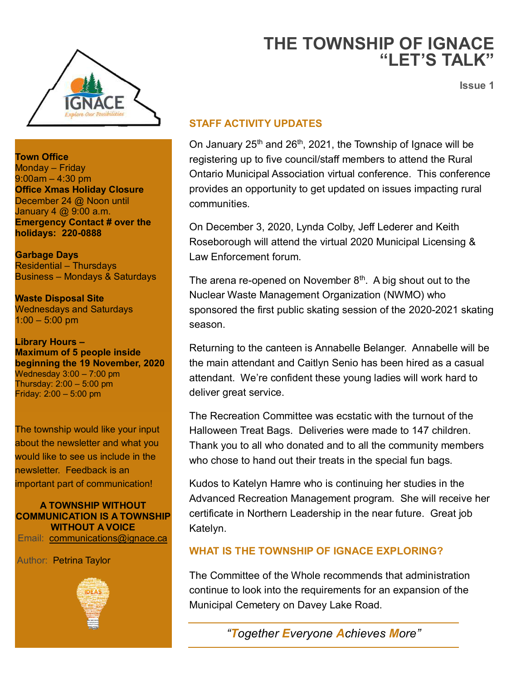

**Town Office**  Monday – Friday 9:00am – 4:30 pm **Office Xmas Holiday Closure** December 24 @ Noon until January 4 @ 9:00 a.m. **Emergency Contact # over the holidays: 220-0888**

**Garbage Days** Residential – Thursdays Business – Mondays & Saturdays

**Waste Disposal Site** Wednesdays and Saturdays  $1:00 - 5:00$  pm

**Library Hours – Maximum of 5 people inside beginning the 19 November, 2020** Wednesday  $3:00 - 7:00$  pm Thursday:  $2:00 - 5:00$  pm Friday: 2:00 – 5:00 pm

The township would like your input about the newsletter and what you would like to see us include in the newsletter. Feedback is an important part of communication!

**A TOWNSHIP WITHOUT COMMUNICATION IS A TOWNSHIP WITHOUT A VOICE** Email: [communications@ignace.ca](mailto:communications@ignace.ca)

Author: Petrina Taylor



# **THE TOWNSHIP OF IGNACE "LET'S TALK"**

**Issue 1**

#### **STAFF ACTIVITY UPDATES**

On January  $25<sup>th</sup>$  and  $26<sup>th</sup>$ , 2021, the Township of Ignace will be registering up to five council/staff members to attend the Rural Ontario Municipal Association virtual conference. This conference provides an opportunity to get updated on issues impacting rural communities.

On December 3, 2020, Lynda Colby, Jeff Lederer and Keith Roseborough will attend the virtual 2020 Municipal Licensing & Law Enforcement forum.

The arena re-opened on November  $8<sup>th</sup>$ . A big shout out to the Nuclear Waste Management Organization (NWMO) who sponsored the first public skating session of the 2020-2021 skating season.

Returning to the canteen is Annabelle Belanger. Annabelle will be the main attendant and Caitlyn Senio has been hired as a casual attendant. We're confident these young ladies will work hard to deliver great service.

The Recreation Committee was ecstatic with the turnout of the Halloween Treat Bags. Deliveries were made to 147 children. Thank you to all who donated and to all the community members who chose to hand out their treats in the special fun bags.

Kudos to Katelyn Hamre who is continuing her studies in the Advanced Recreation Management program. She will receive her certificate in Northern Leadership in the near future. Great job Katelyn.

#### **WHAT IS THE TOWNSHIP OF IGNACE EXPLORING?**

The Committee of the Whole recommends that administration continue to look into the requirements for an expansion of the Municipal Cemetery on Davey Lake Road.

*"Together Everyone Achieves More"*